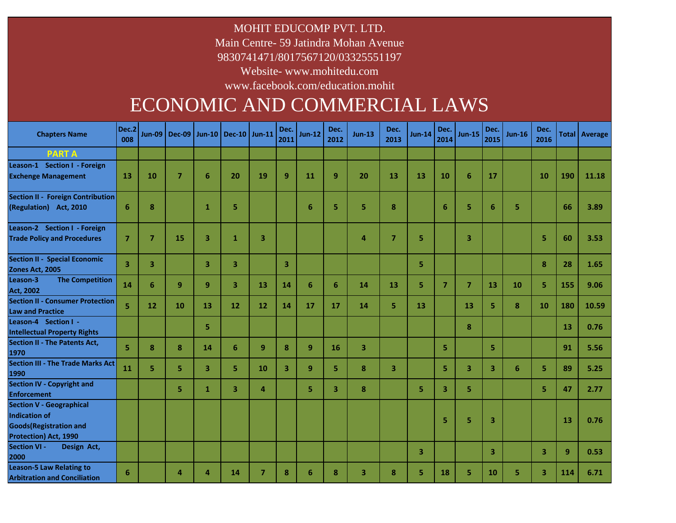MOHIT EDUCOMP PVT. LTD.

Main Centre- 59 Jatindra Mohan Avenue

9830741471/8017567120/03325551197

Website- www.mohitedu.com

www.facebook.com/education.mohit

# ECONOMIC AND COMMERCIAL LAWS

| <b>Chapters Name</b>                                                                                        | Dec.2<br>008            |                | Jun-09   Dec-09   Jun-10   Dec-10   Jun-11 |                         |    |                | Dec.<br>2011            | <b>Jun-12</b> | Dec.<br>2012 | <b>Jun-13</b> | Dec.<br>2013   | <b>Jun-14</b> | Dec.<br>2014   | <b>Jun-15</b>           | Dec.<br>2015 | $Jun-16$ | Dec.<br>2016 |     | Total Average |
|-------------------------------------------------------------------------------------------------------------|-------------------------|----------------|--------------------------------------------|-------------------------|----|----------------|-------------------------|---------------|--------------|---------------|----------------|---------------|----------------|-------------------------|--------------|----------|--------------|-----|---------------|
| <b>PARTA</b>                                                                                                |                         |                |                                            |                         |    |                |                         |               |              |               |                |               |                |                         |              |          |              |     |               |
| Leason-1 Section I - Foreign<br><b>Exchenge Management</b>                                                  | 13                      | 10             | $\overline{7}$                             | 6                       | 20 | 19             | 9                       | 11            | 9            | 20            | 13             | 13            | 10             | 6                       | 17           |          | 10           | 190 | 11.18         |
| <b>Section II - Foreign Contribution</b><br>(Regulation) Act, 2010                                          | 6                       | 8              |                                            | $\mathbf{1}$            | 5  |                |                         | 6             | 5            | 5             | 8              |               | $6\phantom{1}$ | 5                       | 6            | 5        |              | 66  | 3.89          |
| Leason-2 Section I - Foreign<br><b>Trade Policy and Procedures</b>                                          | $\overline{7}$          | $\overline{7}$ | 15                                         | $\overline{\mathbf{3}}$ | 1  | 3              |                         |               |              | 4             | $\overline{7}$ | 5             |                | 3                       |              |          | 5            | 60  | 3.53          |
| <b>Section II - Special Economic</b><br>Zones Act, 2005                                                     | $\overline{\mathbf{3}}$ | 3              |                                            | 3                       | 3  |                | 3                       |               |              |               |                | 5.            |                |                         |              |          | 8            | 28  | 1.65          |
| Leason-3<br><b>The Competition</b><br><b>Act, 2002</b>                                                      | 14                      | 6              | 9                                          | 9                       | 3  | 13             | 14                      | 6             | 6            | 14            | 13             | 5             | $\overline{7}$ | $\overline{7}$          | 13           | 10       | 5            | 155 | 9.06          |
| <b>Section II - Consumer Protection</b><br><b>Law and Practice</b>                                          | 5                       | 12             | 10                                         | 13                      | 12 | 12             | 14                      | 17            | 17           | 14            | 5              | 13            |                | 13                      | 5            | 8        | 10           | 180 | 10.59         |
| Leason-4 Section I -<br><b>Intellectual Property Rights</b>                                                 |                         |                |                                            | 5                       |    |                |                         |               |              |               |                |               |                | 8                       |              |          |              | 13  | 0.76          |
| <b>Section II - The Patents Act,</b><br>1970                                                                | 5                       | 8              | 8                                          | 14                      | 6  | 9              | 8                       | 9             | 16           | 3             |                |               | 5.             |                         | 5            |          |              | 91  | 5.56          |
| <b>Section III - The Trade Marks Act</b><br>1990                                                            | 11                      | 5.             | 5.                                         | 3                       | 5. | 10             | $\overline{\mathbf{3}}$ | 9             | 5            | 8             | 3              |               | 5.             | $\overline{\mathbf{3}}$ | 3            | 6        | 5            | 89  | 5.25          |
| <b>Section IV - Copyright and</b><br><b>Enforcement</b>                                                     |                         |                | 5.                                         | $\mathbf{1}$            | 3  | $\overline{a}$ |                         | 5             | 3            | 8             |                | 5.            | 3              | 5.                      |              |          | 5            | 47  | 2.77          |
| <b>Section V - Geographical</b><br>Indication of<br><b>Goods</b> (Registration and<br>Protection) Act, 1990 |                         |                |                                            |                         |    |                |                         |               |              |               |                |               | 5              | 5                       | 3            |          |              | 13  | 0.76          |
| <b>Section VI -</b><br>Design Act,<br>2000                                                                  |                         |                |                                            |                         |    |                |                         |               |              |               |                | 3             |                |                         | 3            |          | 3            | 9   | 0.53          |
| <b>Leason-5 Law Relating to</b><br><b>Arbitration and Conciliation</b>                                      | 6                       |                | 4                                          | $\Delta$                | 14 | $\overline{7}$ | 8                       | 6             | 8            | 3             | 8              | 5.            | 18             | 5.                      | 10           | 5        | 3            | 114 | 6.71          |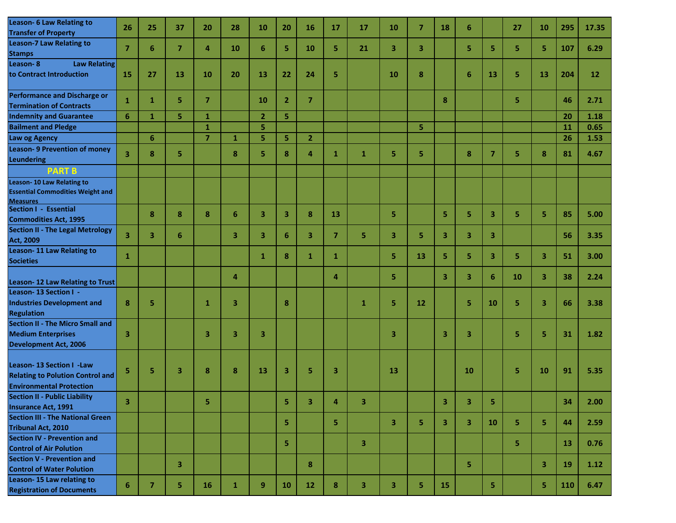| Leason- 6 Law Relating to<br><b>Transfer of Property</b>                                               | 26             | 25 | 37             | 20             | 28 | 10             | 20             | 16             | 17             | 17 | 10 | 7  | 18 | 6  |                | 27 | 10                      | 295       | 17.35     |
|--------------------------------------------------------------------------------------------------------|----------------|----|----------------|----------------|----|----------------|----------------|----------------|----------------|----|----|----|----|----|----------------|----|-------------------------|-----------|-----------|
| <b>Leason-7 Law Relating to</b><br><b>Stamps</b>                                                       | $\overline{7}$ | 6  | $\overline{7}$ | 4              | 10 | 6              | 5              | 10             | 5              | 21 | 3  | 3  |    | 5. | 5              | 5. | 5.                      | 107       | 6.29      |
| Leason-8<br><b>Law Relating</b><br>to Contract Introduction                                            | 15             | 27 | 13             | 10             | 20 | 13             | 22             | 24             | 5              |    | 10 | 8  |    | 6  | 13             | 5  | 13                      | 204       | <b>12</b> |
| <b>Performance and Discharge or</b><br><b>Termination of Contracts</b>                                 | 1              | 1  | 5              | $\overline{7}$ |    | 10             | $\overline{2}$ | $\overline{7}$ |                |    |    |    | 8  |    |                | 5. |                         | 46        | 2.71      |
| <b>Indemnity and Guarantee</b>                                                                         | $6\phantom{1}$ | 1  | 5.             | 1              |    | $\overline{2}$ | 5              |                |                |    |    |    |    |    |                |    |                         | 20        | 1.18      |
| <b>Bailment and Pledge</b>                                                                             |                |    |                | 1              |    | 5              |                |                |                |    |    | 5  |    |    |                |    |                         | 11        | 0.65      |
| Law og Agency                                                                                          |                | 6  |                | $\overline{7}$ | 1  | 5              | 5              | $\overline{2}$ |                |    |    |    |    |    |                |    |                         | 26        | 1.53      |
| <b>Leason-9 Prevention of money</b><br><b>Leundering</b>                                               | 3              | 8  | 5              |                | 8  | 5              | 8              | 4              | 1              | 1  | 5  | 5. |    | 8  | $\overline{7}$ | 5  | 8                       | 81        | 4.67      |
| <b>PART B</b>                                                                                          |                |    |                |                |    |                |                |                |                |    |    |    |    |    |                |    |                         |           |           |
| <b>Leason-10 Law Relating to</b><br><b>Essential Commodities Weight and</b><br><b>Measures</b>         |                |    |                |                |    |                |                |                |                |    |    |    |    |    |                |    |                         |           |           |
| Section I - Essential<br><b>Commodities Act, 1995</b>                                                  |                | 8  | 8              | 8              | 6  | 3              | 3              | 8              | 13             |    | 5  |    | 5  | 5  | 3              | 5. | 5.                      | 85        | 5.00      |
| <b>Section II - The Legal Metrology</b><br>Act, 2009                                                   | 3              | 3  | 6              |                | 3  | 3              | 6              | 3              | $\overline{7}$ | 5  | 3  | 5. | 3  | 3  | 3              |    |                         | 56        | 3.35      |
| <b>Leason-11 Law Relating to</b><br><b>Societies</b>                                                   | 1              |    |                |                |    | 1              | 8              | 1              | 1              |    | 5. | 13 | 5. | 5. | 3              | 5. | 3                       | 51        | 3.00      |
| Leason-12 Law Relating to Trust                                                                        |                |    |                |                | 4  |                |                |                | 4              |    | 5. |    | 3  | 3  | 6              | 10 | $\overline{\mathbf{3}}$ | 38        | 2.24      |
| Leason-13 Section I -<br><b>Industries Development and</b><br><b>Regulation</b>                        | 8              | 5  |                | 1              | 3  |                | 8              |                |                | 1  | 5  | 12 |    | 5  | 10             | 5  | 3                       | 66        | 3.38      |
| <b>Section II - The Micro Small and</b><br><b>Medium Enterprises</b><br><b>Development Act, 2006</b>   | 3              |    |                | 3              | 3  | 3              |                |                |                |    | 3  |    | 3  | 3  |                | 5  | 5                       | 31        | 1.82      |
| Leason-13 Section I -Law<br><b>Relating to Polution Control and</b><br><b>Environmental Protection</b> | 5              | 5  | 3              | 8              | 8  | 13             | 3              | 5              | 3              |    | 13 |    |    | 10 |                | 5  | 10                      | 91        | 5.35      |
| <b>Section II - Public Liability</b><br><b>Insurance Act, 1991</b>                                     | з              |    |                | 5              |    |                | 5.             | з              | 4              | з. |    |    | з  | з  | 5.             |    |                         | 34        | 2.00      |
| <b>Section III - The National Green</b><br><b>Tribunal Act, 2010</b>                                   |                |    |                |                |    |                | 5              |                | 5              |    | 3  | 5. | 3  | 3  | 10             | 5. | 5                       | 44        | 2.59      |
| <b>Section IV - Prevention and</b><br><b>Control of Air Polution</b>                                   |                |    |                |                |    |                | 5              |                |                | 3  |    |    |    |    |                | 5. |                         | 13        | 0.76      |
| <b>Section V - Prevention and</b><br><b>Control of Water Polution</b>                                  |                |    | 3              |                |    |                |                | 8              |                |    |    |    |    | 5  |                |    | 3                       | <b>19</b> | 1.12      |
| Leason-15 Law relating to<br><b>Registration of Documents</b>                                          | 6              | 7  | 5              | 16             | 1  | 9              | <b>10</b>      | 12             | 8              | 3  | 3  | 5. | 15 |    | 5              |    | 5                       | 110       | 6.47      |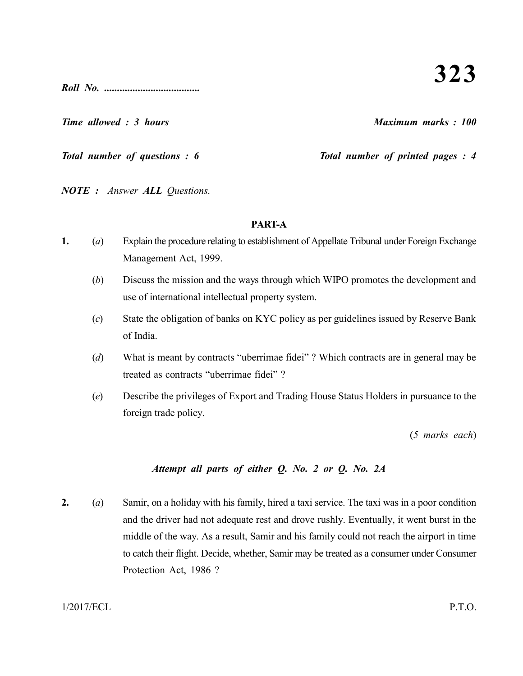**323**

*Roll No. .....................................*

*Time allowed : 3 hours Maximum marks : 100*

*Total number of questions : 6* Total number of printed pages : 4

*NOTE : Answer ALL Questions.*

# **PART-A**

- **1.** (*a*) Explain the procedure relating to establishment of Appellate Tribunal under Foreign Exchange Management Act, 1999.
	- (*b*) Discuss the mission and the ways through which WIPO promotes the development and use of international intellectual property system.
	- (*c*) State the obligation of banks on KYC policy as per guidelines issued by Reserve Bank of India.
	- (*d*) What is meant by contracts "uberrimae fidei" ? Which contracts are in general may be treated as contracts "uberrimae fidei" ?
	- (*e*) Describe the privileges of Export and Trading House Status Holders in pursuance to the foreign trade policy.

(*5 marks each*)

# *Attempt all parts of either Q. No. 2 or Q. No. 2A*

**2.** (*a*) Samir, on a holiday with his family, hired a taxi service. The taxi was in a poor condition and the driver had not adequate rest and drove rushly. Eventually, it went burst in the middle of the way. As a result, Samir and his family could not reach the airport in time to catch their flight. Decide, whether, Samir may be treated as a consumer under Consumer Protection Act, 1986 ?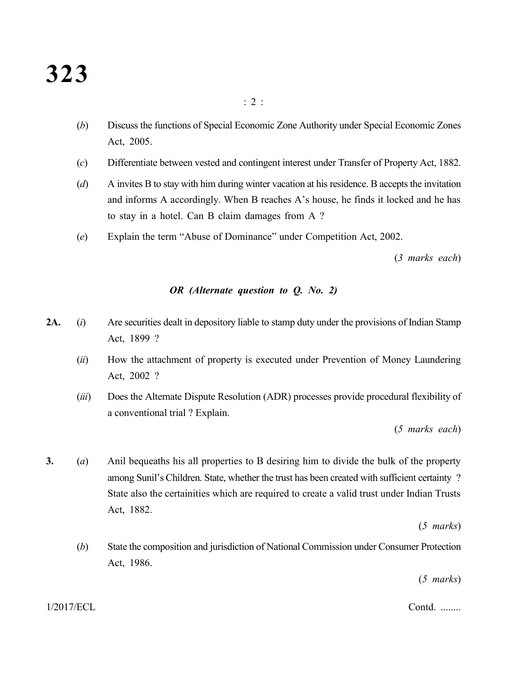(*b*) Discuss the functions of Special Economic Zone Authority under Special Economic Zones Act, 2005.

: 2 :

- (*c*) Differentiate between vested and contingent interest under Transfer of Property Act, 1882.
- (*d*) A invites B to stay with him during winter vacation at his residence. B accepts the invitation and informs A accordingly. When B reaches A's house, he finds it locked and he has to stay in a hotel. Can B claim damages from A ?
- (*e*) Explain the term "Abuse of Dominance" under Competition Act, 2002.

(*3 marks each*)

#### *OR (Alternate question to Q. No. 2)*

- **2A.** (*i*) Are securities dealt in depository liable to stamp duty under the provisions of Indian Stamp Act, 1899 ?
	- (*ii*) How the attachment of property is executed under Prevention of Money Laundering Act, 2002 ?
	- (*iii*) Does the Alternate Dispute Resolution (ADR) processes provide procedural flexibility of a conventional trial ? Explain.

(*5 marks each*)

**3.** (*a*) Anil bequeaths his all properties to B desiring him to divide the bulk of the property among Sunil's Children. State, whether the trust has been created with sufficient certainty ? State also the certainities which are required to create a valid trust under Indian Trusts Act, 1882.

(*5 marks*)

(*b*) State the composition and jurisdiction of National Commission under Consumer Protection Act, 1986.

(*5 marks*)

1/2017/ECL Contd. ........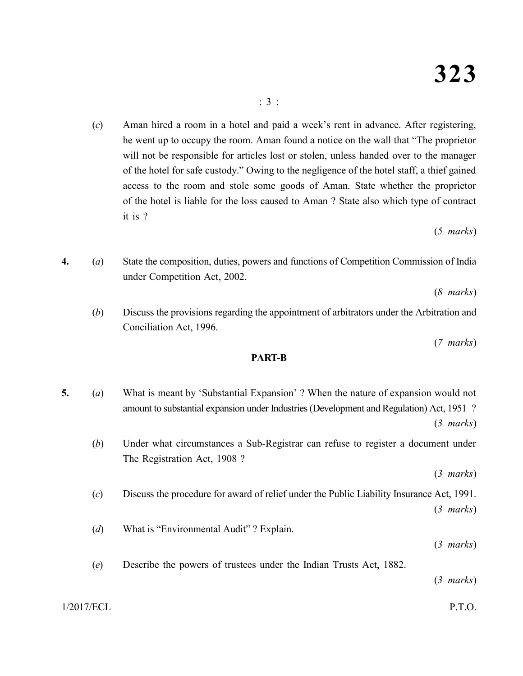(*c*) Aman hired a room in a hotel and paid a week's rent in advance. After registering, he went up to occupy the room. Aman found a notice on the wall that "The proprietor will not be responsible for articles lost or stolen, unless handed over to the manager of the hotel for safe custody." Owing to the negligence of the hotel staff, a thief gained access to the room and stole some goods of Aman. State whether the proprietor of the hotel is liable for the loss caused to Aman ? State also which type of contract it is ?

(*5 marks*)

**4.** (*a*) State the composition, duties, powers and functions of Competition Commission of India under Competition Act, 2002.

(*8 marks*)

(*b*) Discuss the provisions regarding the appointment of arbitrators under the Arbitration and Conciliation Act, 1996.

(*7 marks*)

#### **PART-B**

**5.** (*a*) What is meant by 'Substantial Expansion' ? When the nature of expansion would not amount to substantial expansion under Industries (Development and Regulation) Act, 1951 ? (*3 marks*) (*b*) Under what circumstances a Sub-Registrar can refuse to register a document under The Registration Act, 1908 ? (*3 marks*) (*c*) Discuss the procedure for award of relief under the Public Liability Insurance Act, 1991. (*3 marks*) (*d*) What is "Environmental Audit" ? Explain. (*3 marks*) (*e*) Describe the powers of trustees under the Indian Trusts Act, 1882. (*3 marks*)

1/2017/ECL P.T.O.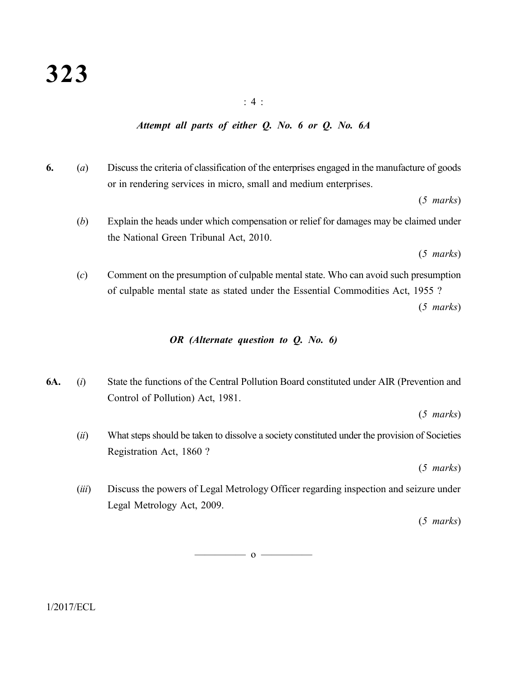#### : 4 :

#### *Attempt all parts of either Q. No. 6 or Q. No. 6A*

**6.** (*a*) Discuss the criteria of classification of the enterprises engaged in the manufacture of goods or in rendering services in micro, small and medium enterprises.

(*5 marks*)

(*b*) Explain the heads under which compensation or relief for damages may be claimed under the National Green Tribunal Act, 2010.

(*5 marks*)

(*c*) Comment on the presumption of culpable mental state. Who can avoid such presumption of culpable mental state as stated under the Essential Commodities Act, 1955 ? (*5 marks*)

#### *OR (Alternate question to Q. No. 6)*

**6A.** (*i*) State the functions of the Central Pollution Board constituted under AIR (Prevention and Control of Pollution) Act, 1981.

(*5 marks*)

(*ii*) What steps should be taken to dissolve a society constituted under the provision of Societies Registration Act, 1860 ?

(*5 marks*)

(*iii*) Discuss the powers of Legal Metrology Officer regarding inspection and seizure under Legal Metrology Act, 2009.

(*5 marks*)

 $\overline{\hspace{1.5cm}}$  0  $\overline{\hspace{1.5cm}}$ 

 $1/2017/ECL$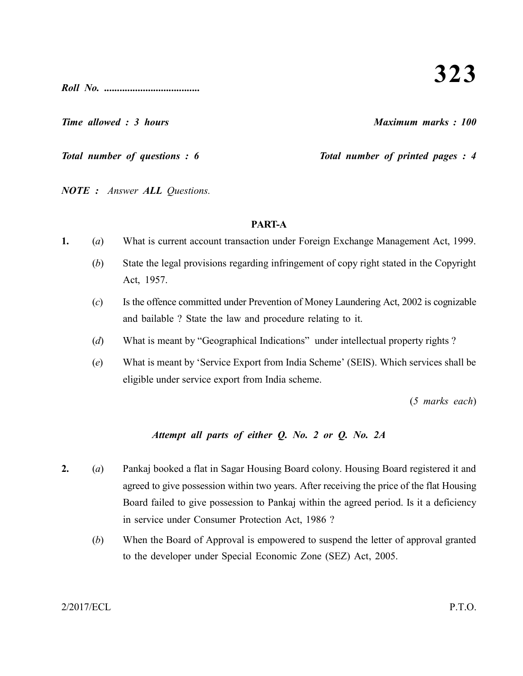*Roll No. .....................................*

*Time allowed : 3 hours Maximum marks : 100*

*Total number of questions : 6* Total number of printed pages : 4

*NOTE : Answer ALL Questions.*

# **PART-A**

- **1.** (*a*) What is current account transaction under Foreign Exchange Management Act, 1999.
	- (*b*) State the legal provisions regarding infringement of copy right stated in the Copyright Act, 1957.
	- (*c*) Is the offence committed under Prevention of Money Laundering Act, 2002 is cognizable and bailable ? State the law and procedure relating to it.
	- (*d*) What is meant by "Geographical Indications" under intellectual property rights ?
	- (*e*) What is meant by 'Service Export from India Scheme' (SEIS). Which services shall be eligible under service export from India scheme.

(*5 marks each*)

# *Attempt all parts of either Q. No. 2 or Q. No. 2A*

- **2.** (*a*) Pankaj booked a flat in Sagar Housing Board colony. Housing Board registered it and agreed to give possession within two years. After receiving the price of the flat Housing Board failed to give possession to Pankaj within the agreed period. Is it a deficiency in service under Consumer Protection Act, 1986 ?
	- (*b*) When the Board of Approval is empowered to suspend the letter of approval granted to the developer under Special Economic Zone (SEZ) Act, 2005.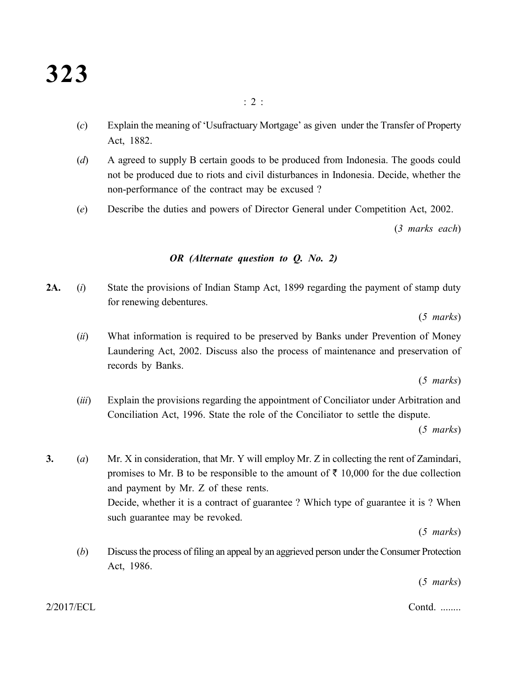(*c*) Explain the meaning of 'Usufractuary Mortgage' as given under the Transfer of Property Act, 1882.

 $\cdot$  2  $\cdot$ 

- (*d*) A agreed to supply B certain goods to be produced from Indonesia. The goods could not be produced due to riots and civil disturbances in Indonesia. Decide, whether the non-performance of the contract may be excused ?
- (*e*) Describe the duties and powers of Director General under Competition Act, 2002.

(*3 marks each*)

## *OR (Alternate question to Q. No. 2)*

**2A.** (*i*) State the provisions of Indian Stamp Act, 1899 regarding the payment of stamp duty for renewing debentures.

(*5 marks*)

(*ii*) What information is required to be preserved by Banks under Prevention of Money Laundering Act, 2002. Discuss also the process of maintenance and preservation of records by Banks.

(*5 marks*)

(*iii*) Explain the provisions regarding the appointment of Conciliator under Arbitration and Conciliation Act, 1996. State the role of the Conciliator to settle the dispute.

(*5 marks*)

**3.** (*a*) Mr. X in consideration, that Mr. Y will employ Mr. Z in collecting the rent of Zamindari, promises to Mr. B to be responsible to the amount of  $\bar{\tau}$  10,000 for the due collection and payment by Mr. Z of these rents. Decide, whether it is a contract of guarantee ? Which type of guarantee it is ? When such guarantee may be revoked.

(*5 marks*)

(*b*) Discuss the process of filing an appeal by an aggrieved person under the Consumer Protection Act, 1986.

(*5 marks*)

2/2017/ECL Contd. ........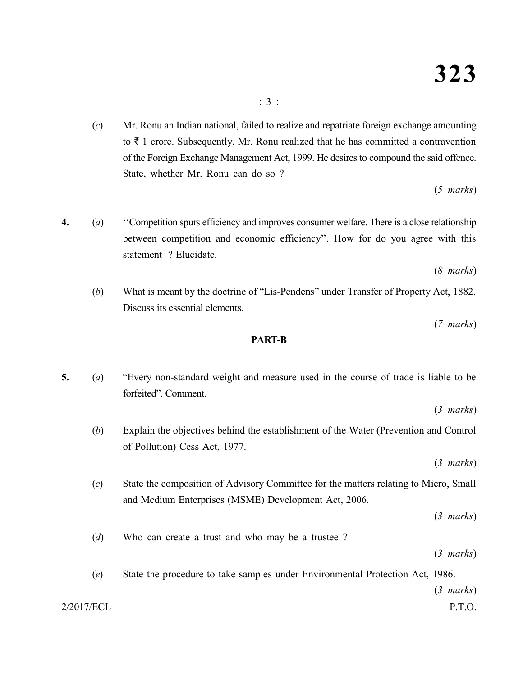(*c*) Mr. Ronu an Indian national, failed to realize and repatriate foreign exchange amounting to  $\bar{\tau}$  1 crore. Subsequently, Mr. Ronu realized that he has committed a contravention of the Foreign Exchange Management Act, 1999. He desires to compound the said offence. State, whether Mr. Ronu can do so ?

(*5 marks*)

**4.** (*a*) ''Competition spurs efficiency and improves consumer welfare. There is a close relationship between competition and economic efficiency''. How for do you agree with this statement ? Elucidate.

(*8 marks*)

(*b*) What is meant by the doctrine of "Lis-Pendens" under Transfer of Property Act, 1882. Discuss its essential elements.

(*7 marks*)

#### **PART-B**

**5.** (*a*) "Every non-standard weight and measure used in the course of trade is liable to be forfeited". Comment.

(*3 marks*)

(*b*) Explain the objectives behind the establishment of the Water (Prevention and Control of Pollution) Cess Act, 1977.

(*3 marks*)

(*c*) State the composition of Advisory Committee for the matters relating to Micro, Small and Medium Enterprises (MSME) Development Act, 2006.

(*3 marks*)

(*d*) Who can create a trust and who may be a trustee ?

(*3 marks*)

2/2017/ECL P.T.O. (*e*) State the procedure to take samples under Environmental Protection Act, 1986. (*3 marks*)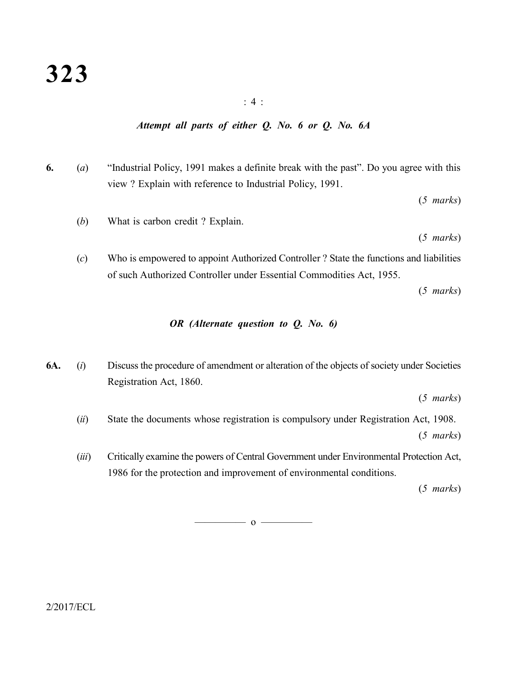#### : 4 :

#### *Attempt all parts of either Q. No. 6 or Q. No. 6A*

**6.** (*a*) "Industrial Policy, 1991 makes a definite break with the past". Do you agree with this view ? Explain with reference to Industrial Policy, 1991.

(*5 marks*)

(*b*) What is carbon credit ? Explain.

(*5 marks*)

(*c*) Who is empowered to appoint Authorized Controller ? State the functions and liabilities of such Authorized Controller under Essential Commodities Act, 1955.

(*5 marks*)

#### *OR (Alternate question to Q. No. 6)*

**6A.** (*i*) Discuss the procedure of amendment or alteration of the objects of society under Societies Registration Act, 1860.

(*5 marks*)

- (*ii*) State the documents whose registration is compulsory under Registration Act, 1908. (*5 marks*)
- (*iii*) Critically examine the powers of Central Government under Environmental Protection Act, 1986 for the protection and improvement of environmental conditions.

(*5 marks*)

 $\overline{\hspace{1.5cm}}$  0  $\overline{\hspace{1.5cm}}$ 

 $2/2017/ECL$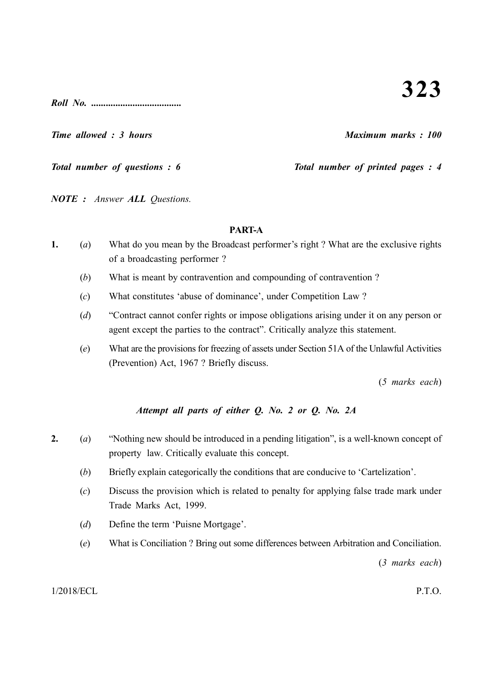*Roll No. .....................................*

*Time allowed : 3 hours Maximum marks : 100*

*Total number of questions : 6* Total number of printed pages : 4

*NOTE : Answer ALL Questions.*

#### **PART-A**

- **1.** (*a*) What do you mean by the Broadcast performer's right ? What are the exclusive rights of a broadcasting performer ?
	- (*b*) What is meant by contravention and compounding of contravention ?
	- (*c*) What constitutes 'abuse of dominance', under Competition Law ?
	- (*d*) "Contract cannot confer rights or impose obligations arising under it on any person or agent except the parties to the contract". Critically analyze this statement.
	- (*e*) What are the provisions for freezing of assets under Section 51A of the Unlawful Activities (Prevention) Act, 1967 ? Briefly discuss.

(*5 marks each*)

# *Attempt all parts of either Q. No. 2 or Q. No. 2A*

- **2.** (*a*) "Nothing new should be introduced in a pending litigation", is a well-known concept of property law. Critically evaluate this concept.
	- (*b*) Briefly explain categorically the conditions that are conducive to 'Cartelization'.
	- (*c*) Discuss the provision which is related to penalty for applying false trade mark under Trade Marks Act, 1999.
	- (*d*) Define the term 'Puisne Mortgage'.
	- (*e*) What is Conciliation ? Bring out some differences between Arbitration and Conciliation.

(*3 marks each*)

1/2018/ECL P.T.O.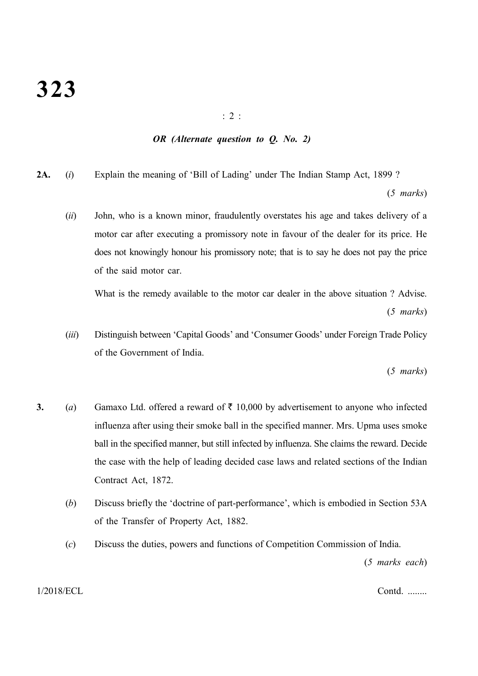# **323**

: 2 :

# *OR (Alternate question to Q. No. 2)*

**2A.** (*i*) Explain the meaning of 'Bill of Lading' under The Indian Stamp Act, 1899 ?

(*5 marks*)

(*ii*) John, who is a known minor, fraudulently overstates his age and takes delivery of a motor car after executing a promissory note in favour of the dealer for its price. He does not knowingly honour his promissory note; that is to say he does not pay the price of the said motor car.

What is the remedy available to the motor car dealer in the above situation ? Advise. (*5 marks*)

(*iii*) Distinguish between 'Capital Goods' and 'Consumer Goods' under Foreign Trade Policy of the Government of India.

(*5 marks*)

- **3.** (*a*) Gamaxo Ltd. offered a reward of  $\bar{\tau}$  10,000 by advertisement to anyone who infected influenza after using their smoke ball in the specified manner. Mrs. Upma uses smoke ball in the specified manner, but still infected by influenza. She claims the reward. Decide the case with the help of leading decided case laws and related sections of the Indian Contract Act, 1872.
	- (*b*) Discuss briefly the 'doctrine of part-performance', which is embodied in Section 53A of the Transfer of Property Act, 1882.
	- (*c*) Discuss the duties, powers and functions of Competition Commission of India.

(*5 marks each*)

#### 1/2018/ECL Contd. ........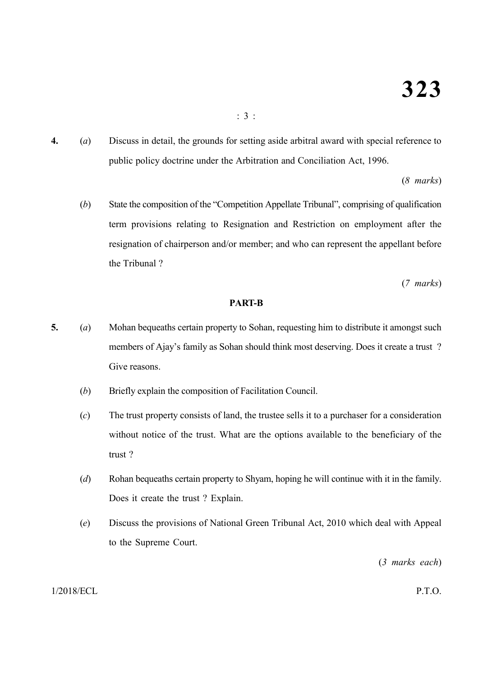**4.** (*a*) Discuss in detail, the grounds for setting aside arbitral award with special reference to public policy doctrine under the Arbitration and Conciliation Act, 1996.

(*8 marks*)

(*b*) State the composition of the "Competition Appellate Tribunal", comprising of qualification term provisions relating to Resignation and Restriction on employment after the resignation of chairperson and/or member; and who can represent the appellant before the Tribunal ?

(*7 marks*)

#### **PART-B**

- **5.** (*a*) Mohan bequeaths certain property to Sohan, requesting him to distribute it amongst such members of Ajay's family as Sohan should think most deserving. Does it create a trust ? Give reasons.
	- (*b*) Briefly explain the composition of Facilitation Council.
	- (*c*) The trust property consists of land, the trustee sells it to a purchaser for a consideration without notice of the trust. What are the options available to the beneficiary of the trust ?
	- (*d*) Rohan bequeaths certain property to Shyam, hoping he will continue with it in the family. Does it create the trust ? Explain.
	- (*e*) Discuss the provisions of National Green Tribunal Act, 2010 which deal with Appeal to the Supreme Court.

(*3 marks each*)

#### 1/2018/ECL P.T.O.